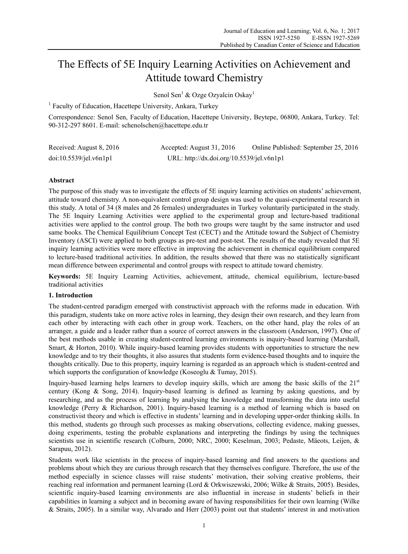# The Effects of 5E Inquiry Learning Activities on Achievement and Attitude toward Chemistry

Senol Sen<sup>1</sup> & Ozge Ozyalcin Oskay<sup>1</sup>

<sup>1</sup> Faculty of Education, Hacettepe University, Ankara, Turkey

Correspondence: Senol Sen, Faculty of Education, Hacettepe University, Beytepe, 06800, Ankara, Turkey. Tel: 90-312-297 8601. E-mail: schenolschen@hacettepe.edu.tr

| Received: August 8, 2016 | Accepted: August 31, 2016                 | Online Published: September 25, 2016 |
|--------------------------|-------------------------------------------|--------------------------------------|
| doi:10.5539/jel.v6n1p1   | URL: http://dx.doi.org/10.5539/jel.v6n1p1 |                                      |

# **Abstract**

The purpose of this study was to investigate the effects of 5E inquiry learning activities on students' achievement, attitude toward chemistry. A non-equivalent control group design was used to the quasi-experimental research in this study. A total of 34 (8 males and 26 females) undergraduates in Turkey voluntarily participated in the study. The 5E Inquiry Learning Activities were applied to the experimental group and lecture-based traditional activities were applied to the control group. The both two groups were taught by the same instructor and used same books. The Chemical Equilibrium Concept Test (CECT) and the Attitude toward the Subject of Chemistry Inventory (ASCI) were applied to both groups as pre-test and post-test. The results of the study revealed that 5E inquiry learning activities were more effective in improving the achievement in chemical equilibrium compared to lecture-based traditional activities. In addition, the results showed that there was no statistically significant mean difference between experimental and control groups with respect to attitude toward chemistry.

**Keywords:** 5E Inquiry Learning Activities, achievement, attitude, chemical equilibrium, lecture-based traditional activities

## **1. Introduction**

The student-centred paradigm emerged with constructivist approach with the reforms made in education. With this paradigm, students take on more active roles in learning, they design their own research, and they learn from each other by interacting with each other in group work. Teachers, on the other hand, play the roles of an arranger, a guide and a leader rather than a source of correct answers in the classroom (Anderson, 1997). One of the best methods usable in creating student-centred learning environments is inquiry-based learning (Marshall, Smart, & Horton, 2010). While inquiry-based learning provides students with opportunities to structure the new knowledge and to try their thoughts, it also assures that students form evidence-based thoughts and to inquire the thoughts critically. Due to this property, inquiry learning is regarded as an approach which is student-centred and which supports the configuration of knowledge (Koseoglu & Tumay, 2015).

Inquiry-based learning helps learners to develop inquiry skills, which are among the basic skills of the  $21<sup>st</sup>$ century (Kong & Song, 2014). Inquiry-based learning is defined as learning by asking questions, and by researching, and as the process of learning by analysing the knowledge and transforming the data into useful knowledge (Perry & Richardson, 2001). Inquiry-based learning is a method of learning which is based on constructivist theory and which is effective in students' learning and in developing upper-order thinking skills. In this method, students go through such processes as making observations, collecting evidence, making guesses, doing experiments, testing the probable explanations and interpreting the findings by using the techniques scientists use in scientific research (Colburn, 2000; NRC, 2000; Keselman, 2003; Pedaste, Mäeots, Leijen, & Sarapuu, 2012).

Students work like scientists in the process of inquiry-based learning and find answers to the questions and problems about which they are curious through research that they themselves configure. Therefore, the use of the method especially in science classes will raise students' motivation, their solving creative problems, their reaching real information and permanent learning (Lord & Orkwiszewski, 2006; Wilke & Straits, 2005). Besides, scientific inquiry-based learning environments are also influential in increase in students' beliefs in their capabilities in learning a subject and in becoming aware of having responsibilities for their own learning (Wilke & Straits, 2005). In a similar way, Alvarado and Herr (2003) point out that students' interest in and motivation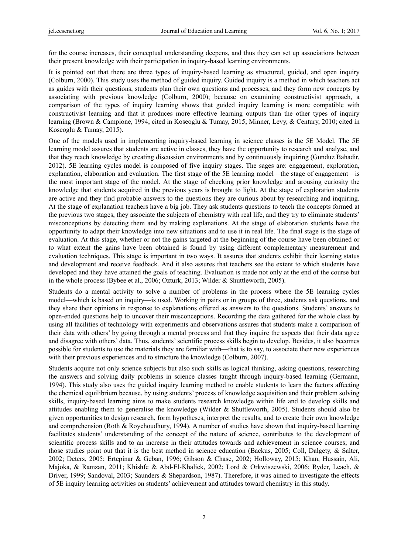for the course increases, their conceptual understanding deepens, and thus they can set up associations between their present knowledge with their participation in inquiry-based learning environments.

It is pointed out that there are three types of inquiry-based learning as structured, guided, and open inquiry (Colburn, 2000). This study uses the method of guided inquiry. Guided inquiry is a method in which teachers act as guides with their questions, students plan their own questions and processes, and they form new concepts by associating with previous knowledge (Colburn, 2000); because on examining constructivist approach, a comparison of the types of inquiry learning shows that guided inquiry learning is more compatible with constructivist learning and that it produces more effective learning outputs than the other types of inquiry learning (Brown & Campione, 1994; cited in Koseoglu & Tumay, 2015; Minner, Levy, & Century, 2010; cited in Koseoglu & Tumay, 2015).

One of the models used in implementing inquiry-based learning in science classes is the 5E Model. The 5E learning model assures that students are active in classes, they have the opportunity to research and analyse, and that they reach knowledge by creating discussion environments and by continuously inquiring (Gunduz Bahadir, 2012). 5E learning cycles model is composed of five inquiry stages. The sages are: engagement, exploration, explanation, elaboration and evaluation. The first stage of the 5E learning model—the stage of engagement—is the most important stage of the model. At the stage of checking prior knowledge and arousing curiosity the knowledge that students acquired in the previous years is brought to light. At the stage of exploration students are active and they find probable answers to the questions they are curious about by researching and inquiring. At the stage of explanation teachers have a big job. They ask students questions to teach the concepts formed at the previous two stages, they associate the subjects of chemistry with real life, and they try to eliminate students' misconceptions by detecting them and by making explanations. At the stage of elaboration students have the opportunity to adapt their knowledge into new situations and to use it in real life. The final stage is the stage of evaluation. At this stage, whether or not the gains targeted at the beginning of the course have been obtained or to what extent the gains have been obtained is found by using different complementary measurement and evaluation techniques. This stage is important in two ways. It assures that students exhibit their learning status and development and receive feedback. And it also assures that teachers see the extent to which students have developed and they have attained the goals of teaching. Evaluation is made not only at the end of the course but in the whole process (Bybee et al., 2006; Ozturk, 2013; Wilder & Shuttleworth, 2005).

Students do a mental activity to solve a number of problems in the process where the 5E learning cycles model—which is based on inquiry—is used. Working in pairs or in groups of three, students ask questions, and they share their opinions in response to explanations offered as answers to the questions. Students' answers to open-ended questions help to uncover their misconceptions. Recording the data gathered for the whole class by using all facilities of technology with experiments and observations assures that students make a comparison of their data with others' by going through a mental process and that they inquire the aspects that their data agree and disagree with others' data. Thus, students' scientific process skills begin to develop. Besides, it also becomes possible for students to use the materials they are familiar with—that is to say, to associate their new experiences with their previous experiences and to structure the knowledge (Colburn, 2007).

Students acquire not only science subjects but also such skills as logical thinking, asking questions, researching the answers and solving daily problems in science classes taught through inquiry-based learning (Germann, 1994). This study also uses the guided inquiry learning method to enable students to learn the factors affecting the chemical equilibrium because, by using students' process of knowledge acquisition and their problem solving skills, inquiry-based learning aims to make students research knowledge within life and to develop skills and attitudes enabling them to generalise the knowledge (Wilder & Shuttleworth, 2005). Students should also be given opportunities to design research, form hypotheses, interpret the results, and to create their own knowledge and comprehension (Roth & Roychoudhury, 1994). A number of studies have shown that inquiry-based learning facilitates students' understanding of the concept of the nature of science, contributes to the development of scientific process skills and to an increase in their attitudes towards and achievement in science courses; and those studies point out that it is the best method in science education (Backus, 2005; Coll, Dalgety, & Salter, 2002; Deters, 2005; Ertepinar & Geban, 1996; Gibson & Chase, 2002; Holloway, 2015; Khan, Hussain, Ali, Majoka, & Ramzan, 2011; Khishfe & Abd‐El‐Khalick, 2002; Lord & Orkwiszewski, 2006; Ryder, Leach, & Driver, 1999; Sandoval, 2003; Saunders & Shepardson, 1987). Therefore, it was aimed to investigate the effects of 5E inquiry learning activities on students' achievement and attitudes toward chemistry in this study.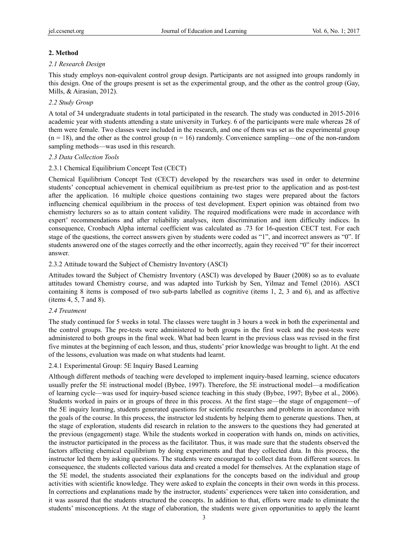# **2. Method**

# *2.1 Research Design*

This study employs non-equivalent control group design. Participants are not assigned into groups randomly in this design. One of the groups present is set as the experimental group, and the other as the control group (Gay, Mills, & Airasian, 2012).

# *2.2 Study Group*

A total of 34 undergraduate students in total participated in the research. The study was conducted in 2015-2016 academic year with students attending a state university in Turkey. 6 of the participants were male whereas 28 of them were female. Two classes were included in the research, and one of them was set as the experimental group  $(n = 18)$ , and the other as the control group  $(n = 16)$  randomly. Convenience sampling—one of the non-random sampling methods—was used in this research.

## *2.3 Data Collection Tools*

# 2.3.1 Chemical Equilibrium Concept Test (CECT)

Chemical Equilibrium Concept Test (CECT) developed by the researchers was used in order to determine students' conceptual achievement in chemical equilibrium as pre-test prior to the application and as post-test after the application. 16 multiple choice questions containing two stages were prepared about the factors influencing chemical equilibrium in the process of test development. Expert opinion was obtained from two chemistry lecturers so as to attain content validity. The required modifications were made in accordance with expert' recommendations and after reliability analyses, item discrimination and item difficulty indices. In consequence, Cronbach Alpha internal coefficient was calculated as .73 for 16-question CECT test. For each stage of the questions, the correct answers given by students were coded as "1", and incorrect answers as "0". If students answered one of the stages correctly and the other incorrectly, again they received "0" for their incorrect answer.

## 2.3.2 Attitude toward the Subject of Chemistry Inventory (ASCI)

Attitudes toward the Subject of Chemistry Inventory (ASCI) was developed by Bauer (2008) so as to evaluate attitudes toward Chemistry course, and was adapted into Turkish by Sen, Yilmaz and Temel (2016). ASCI containing 8 items is composed of two sub-parts labelled as cognitive (items 1, 2, 3 and 6), and as affective (items 4, 5, 7 and 8).

## *2.4 Treatment*

The study continued for 5 weeks in total. The classes were taught in 3 hours a week in both the experimental and the control groups. The pre-tests were administered to both groups in the first week and the post-tests were administered to both groups in the final week. What had been learnt in the previous class was revised in the first five minutes at the beginning of each lesson, and thus, students' prior knowledge was brought to light. At the end of the lessons, evaluation was made on what students had learnt.

## 2.4.1 Experimental Group: 5E Inquiry Based Learning

Although different methods of teaching were developed to implement inquiry-based learning, science educators usually prefer the 5E instructional model (Bybee, 1997). Therefore, the 5E instructional model—a modification of learning cycle—was used for inquiry-based science teaching in this study (Bybee, 1997; Bybee et al., 2006). Students worked in pairs or in groups of three in this process. At the first stage—the stage of engagement—of the 5E inquiry learning, students generated questions for scientific researches and problems in accordance with the goals of the course. In this process, the instructor led students by helping them to generate questions. Then, at the stage of exploration, students did research in relation to the answers to the questions they had generated at the previous (engagement) stage. While the students worked in cooperation with hands on, minds on activities, the instructor participated in the process as the facilitator. Thus, it was made sure that the students observed the factors affecting chemical equilibrium by doing experiments and that they collected data. In this process, the instructor led them by asking questions. The students were encouraged to collect data from different sources. In consequence, the students collected various data and created a model for themselves. At the explanation stage of the 5E model, the students associated their explanations for the concepts based on the individual and group activities with scientific knowledge. They were asked to explain the concepts in their own words in this process. In corrections and explanations made by the instructor, students' experiences were taken into consideration, and it was assured that the students structured the concepts. In addition to that, efforts were made to eliminate the students' misconceptions. At the stage of elaboration, the students were given opportunities to apply the learnt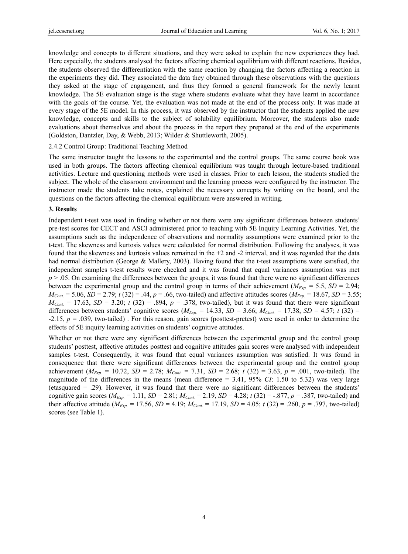knowledge and concepts to different situations, and they were asked to explain the new experiences they had. Here especially, the students analysed the factors affecting chemical equilibrium with different reactions. Besides, the students observed the differentiation with the same reaction by changing the factors affecting a reaction in the experiments they did. They associated the data they obtained through these observations with the questions they asked at the stage of engagement, and thus they formed a general framework for the newly learnt knowledge. The 5E evaluation stage is the stage where students evaluate what they have learnt in accordance with the goals of the course. Yet, the evaluation was not made at the end of the process only. It was made at every stage of the 5E model. In this process, it was observed by the instructor that the students applied the new knowledge, concepts and skills to the subject of solubility equilibrium. Moreover, the students also made evaluations about themselves and about the process in the report they prepared at the end of the experiments (Goldston, Dantzler, Day, & Webb, 2013; Wilder & Shuttleworth, 2005).

## 2.4.2 Control Group: Traditional Teaching Method

The same instructor taught the lessons to the experimental and the control groups. The same course book was used in both groups. The factors affecting chemical equilibrium was taught through lecture-based traditional activities. Lecture and questioning methods were used in classes. Prior to each lesson, the students studied the subject. The whole of the classroom environment and the learning process were configured by the instructor. The instructor made the students take notes, explained the necessary concepts by writing on the board, and the questions on the factors affecting the chemical equilibrium were answered in writing.

#### **3. Results**

Independent t-test was used in finding whether or not there were any significant differences between students' pre-test scores for CECT and ASCI administered prior to teaching with 5E Inquiry Learning Activities. Yet, the assumptions such as the independence of observations and normality assumptions were examined prior to the t-test. The skewness and kurtosis values were calculated for normal distribution. Following the analyses, it was found that the skewness and kurtosis values remained in the +2 and -2 interval, and it was regarded that the data had normal distribution (George & Mallery, 2003). Having found that the t-test assumptions were satisfied, the independent samples t-test results were checked and it was found that equal variances assumption was met *p* > .05. On examining the differences between the groups, it was found that there were no significant differences between the experimental group and the control group in terms of their achievement ( $M_{Exp}$  = 5.5, *SD* = 2.94;  $M_{Cont.} = 5.06$ ,  $SD = 2.79$ ;  $t(32) = .44$ ,  $p = .66$ , two-tailed) and affective attitudes scores ( $M_{Exp.} = 18.67$ ,  $SD = 3.55$ ;  $M_{Cont.} = 17.63$ ,  $SD = 3.20$ ;  $t(32) = .894$ ,  $p = .378$ , two-tailed), but it was found that there were significant differences between students' cognitive scores  $(M_{Exp.} = 14.33, SD = 3.66; M_{Cont.} = 17.38, SD = 4.57; t (32) =$  $-2.15$ ,  $p = .039$ , two-tailed). For this reason, gain scores (posttest-pretest) were used in order to determine the effects of 5E inquiry learning activities on students' cognitive attitudes.

Whether or not there were any significant differences between the experimental group and the control group students' posttest, affective attitudes posttest and cognitive attitudes gain scores were analysed with independent samples t-test. Consequently, it was found that equal variances assumption was satisfied. It was found in consequence that there were significant differences between the experimental group and the control group achievement ( $M_{Exp.} = 10.72$ ,  $SD = 2.78$ ;  $M_{Cont.} = 7.31$ ,  $SD = 2.68$ ;  $t(32) = 3.63$ ,  $p = .001$ , two-tailed). The magnitude of the differences in the means (mean difference  $= 3.41$ , 95% *CI*: 1.50 to 5.32) was very large (etasquared = .29). However, it was found that there were no significant differences between the students' cognitive gain scores ( $M_{Exp} = 1.11$ ,  $SD = 2.81$ ;  $M_{Cont} = 2.19$ ,  $SD = 4.28$ ;  $t(32) = -.877$ ,  $p = .387$ , two-tailed) and their affective attitude ( $M_{Exp.} = 17.56$ ,  $SD = 4.19$ ;  $M_{Cont.} = 17.19$ ,  $SD = 4.05$ ;  $t(32) = .260$ ,  $p = .797$ , two-tailed) scores (see Table 1).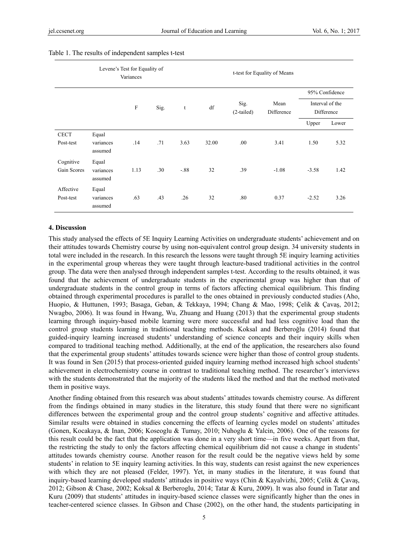|                          |                               | Levene's Test for Equality of<br>Variances |      | t-test for Equality of Means |       |                      |                    |                                                 |       |  |
|--------------------------|-------------------------------|--------------------------------------------|------|------------------------------|-------|----------------------|--------------------|-------------------------------------------------|-------|--|
|                          |                               |                                            | Sig. | t                            | df    | Sig.<br>$(2-tailed)$ | Mean<br>Difference | 95% Confidence<br>Interval of the<br>Difference |       |  |
|                          |                               | $\rm F$                                    |      |                              |       |                      |                    |                                                 |       |  |
|                          |                               |                                            |      |                              |       |                      |                    | Upper                                           | Lower |  |
| <b>CECT</b><br>Post-test | Equal<br>variances<br>assumed | .14                                        | .71  | 3.63                         | 32.00 | .00.                 | 3.41               | 1.50                                            | 5.32  |  |
| Cognitive<br>Gain Scores | Equal<br>variances<br>assumed | 1.13                                       | .30  | $-.88$                       | 32    | .39                  | $-1.08$            | $-3.58$                                         | 1.42  |  |
| Affective<br>Post-test   | Equal<br>variances<br>assumed | .63                                        | .43  | .26                          | 32    | .80                  | 0.37               | $-2.52$                                         | 3.26  |  |

#### Table 1. The results of independent samples t-test

#### **4. Discussion**

This study analysed the effects of 5E Inquiry Learning Activities on undergraduate students' achievement and on their attitudes towards Chemistry course by using non-equivalent control group design. 34 university students in total were included in the research. In this research the lessons were taught through 5E inquiry learning activities in the experimental group whereas they were taught through leacture-based traditional activities in the control group. The data were then analysed through independent samples t-test. According to the results obtained, it was found that the achievement of undergraduate students in the experimental group was higher than that of undergraduate students in the control group in terms of factors affecting chemical equilibrium. This finding obtained through experimental procedures is parallel to the ones obtained in previously conducted studies (Aho, Huopio, & Huttunen, 1993; Basaga, Geban, & Tekkaya, 1994; Chang & Mao, 1998; Çelik & Çavaş, 2012; Nwagbo, 2006). It was found in Hwang, Wu, Zhuang and Huang (2013) that the experimental group students learning through inquiry-based mobile learning were more successful and had less cognitive load than the control group students learning in traditional teaching methods. Koksal and Berberoğlu (2014) found that guided-inquiry learning increased students' understanding of science concepts and their inquiry skills when compared to traditional teaching method. Additionally, at the end of the application, the researchers also found that the experimental group students' attitudes towards science were higher than those of control group students. It was found in Sen (2015) that process-oriented guided inquiry learning method increased high school students' achievement in electrochemistry course in contrast to traditional teaching method. The researcher's interviews with the students demonstrated that the majority of the students liked the method and that the method motivated them in positive ways.

Another finding obtained from this research was about students' attitudes towards chemistry course. As different from the findings obtained in many studies in the literature, this study found that there were no significant differences between the experimental group and the control group students' cognitive and affective attitudes. Similar results were obtained in studies concerning the effects of learning cycles model on students' attitudes (Gonen, Kocakaya, & Inan, 2006; Koseoglu & Tumay, 2010; Nuhoglu & Yalcin, 2006). One of the reasons for this result could be the fact that the application was done in a very short time—in five weeks. Apart from that, the restricting the study to only the factors affecting chemical equilibrium did not cause a change in students' attitudes towards chemistry course. Another reason for the result could be the negative views held by some students' in relation to 5E inquiry learning activities. In this way, students can resist against the new experiences with which they are not pleased (Felder, 1997). Yet, in many studies in the literature, it was found that inquiry-based learning developed students' attitudes in positive ways (Chin & Kayalvizhi, 2005; Çelik & Çavaş, 2012; Gibson & Chase, 2002; Koksal & Berberoglu, 2014; Tatar & Kuru, 2009). It was also found in Tatar and Kuru (2009) that students' attitudes in inquiry-based science classes were significantly higher than the ones in teacher-centered science classes. In Gibson and Chase (2002), on the other hand, the students participating in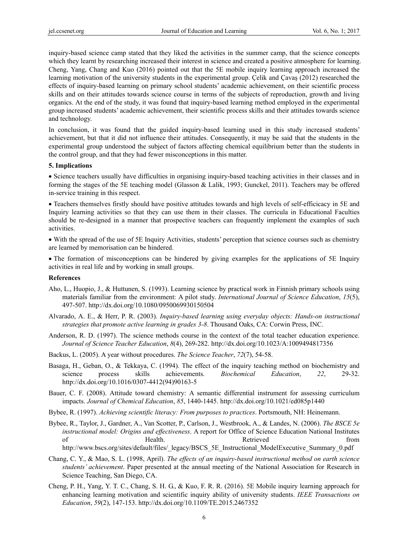inquiry-based science camp stated that they liked the activities in the summer camp, that the science concepts which they learnt by researching increased their interest in science and created a positive atmosphere for learning. Cheng, Yang, Chang and Kuo (2016) pointed out that the 5E mobile inquiry learning approach increased the learning motivation of the university students in the experimental group. Çelik and Çavaş (2012) researched the effects of inquiry-based learning on primary school students' academic achievement, on their scientific process skills and on their attitudes towards science course in terms of the subjects of reproduction, growth and living organics. At the end of the study, it was found that inquiry-based learning method employed in the experimental group increased students' academic achievement, their scientific process skills and their attitudes towards science and technology.

In conclusion, it was found that the guided inquiry-based learning used in this study increased students' achievement, but that it did not influence their attitudes. Consequently, it may be said that the students in the experimental group understood the subject of factors affecting chemical equilibrium better than the students in the control group, and that they had fewer misconceptions in this matter.

#### **5. Implications**

 Science teachers usually have difficulties in organising inquiry-based teaching activities in their classes and in forming the stages of the 5E teaching model (Glasson & Lalik, 1993; Gunckel, 2011). Teachers may be offered in-service training in this respect.

 Teachers themselves firstly should have positive attitudes towards and high levels of self-efficicacy in 5E and Inquiry learning activities so that they can use them in their classes. The curricula in Educational Faculties should be re-designed in a manner that prospective teachers can frequently implement the examples of such activities.

 With the spread of the use of 5E Inquiry Activities, students' perception that science courses such as chemistry are learned by memorisation can be hindered.

 The formation of misconceptions can be hindered by giving examples for the applications of 5E Inquiry activities in real life and by working in small groups.

#### **References**

- Aho, L., Huopio, J., & Huttunen, S. (1993). Learning science by practical work in Finnish primary schools using materials familiar from the environment: A pilot study. *International Journal of Science Education*, *15*(5), 497-507. http://dx.doi.org/10.1080/0950069930150504
- Alvarado, A. E., & Herr, P. R. (2003). *Inquiry-based learning using everyday objects: Hands-on instructional strategies that promote active learning in grades 3-8*. Thousand Oaks, CA: Corwin Press, INC.
- Anderson, R. D. (1997). The science methods course in the context of the total teacher education experience. *Journal of Science Teacher Education*, *8*(4), 269-282. http://dx.doi.org/10.1023/A:1009494817356
- Backus, L. (2005). A year without procedures. *The Science Teacher*, *72*(7), 54-58.
- Basaga, H., Geban, O., & Tekkaya, C. (1994). The effect of the inquiry teaching method on biochemistry and science process skills achievements. *Biochemical Education*, *22*, 29-32. http://dx.doi.org/10.1016/0307-4412(94)90163-5
- Bauer, C. F. (2008). Attitude toward chemistry: A semantic differential instrument for assessing curriculum impacts. *Journal of Chemical Education*, *85*, 1440-1445. http://dx.doi.org/10.1021/ed085p1440
- Bybee, R. (1997). *Achieving scientific literacy: From purposes to practices*. Portsmouth, NH: Heinemann.
- Bybee, R., Taylor, J., Gardner, A., Van Scotter, P., Carlson, J., Westbrook, A., & Landes, N. (2006). *The BSCE 5e instructional model: Origins and effectiveness*. A report for Office of Science Education National Institutes of **Health.** Retrieved **health Health Retrieved health Retrieved health** *n* http://www.bscs.org/sites/default/files/\_legacy/BSCS\_5E\_Instructional\_ModelExecutive\_Summary\_0.pdf
- Chang, C. Y., & Mao, S. L. (1998, April). *The effects of an inquiry-based instructional method on earth science students' achievement*. Paper presented at the annual meeting of the National Association for Research in Science Teaching, San Diego, CA.
- Cheng, P. H., Yang, Y. T. C., Chang, S. H. G., & Kuo, F. R. R. (2016). 5E Mobile inquiry learning approach for enhancing learning motivation and scientific inquiry ability of university students. *IEEE Transactions on Education*, *59*(2), 147-153. http://dx.doi.org/10.1109/TE.2015.2467352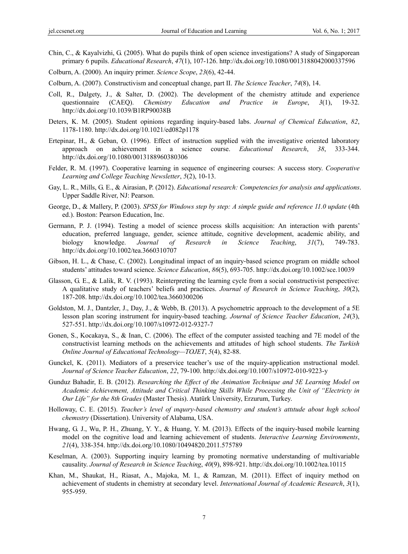- Chin, C., & Kayalvizhi, G. (2005). What do pupils think of open science investigations? A study of Singaporean primary 6 pupils. *Educational Research*, *47*(1), 107-126. http://dx.doi.org/10.1080/0013188042000337596
- Colburn, A. (2000). An inquiry primer. *Science Scope*, *23*(6), 42-44.
- Colburn, A. (2007). Constructivism and conceptual change, part II. *The Science Teacher*, *74*(8), 14.
- Coll, R., Dalgety, J., & Salter, D. (2002). The development of the chemistry attitude and experience questionnaire (CAEQ). *Chemistry Education and Practice in Europe*, *3*(1), 19-32. http://dx.doi.org/10.1039/B1RP90038B
- Deters, K. M. (2005). Student opinions regarding inquiry-based labs. *Journal of Chemical Education*, *82*, 1178-1180. http://dx.doi.org/10.1021/ed082p1178
- Ertepinar, H., & Geban, O. (1996). Effect of instruction supplied with the investigative oriented laboratory approach on achievement in a science course. *Educational Research*, *38*, 333-344. http://dx.doi.org/10.1080/0013188960380306
- Felder, R. M. (1997). Cooperative learning in sequence of engineering courses: A success story. *Cooperative Learning and College Teaching Newsletter*, *5*(2), 10-13.
- Gay, L. R., Mills, G. E., & Airasian, P. (2012). *Educational research: Competencies for analysis and applications*. Upper Saddle River, NJ: Pearson.
- George, D., & Mallery, P. (2003). *SPSS for Windows step by step: A simple guide and reference 11.0 update* (4th ed.). Boston: Pearson Education, Inc.
- Germann, P. J. (1994). Testing a model of science process skills acquisition: An interaction with parents' education, preferred language, gender, science attitude, cognitive development, academic ability, and biology knowledge. *Journal of Research in Science Teaching*, *31*(7), 749-783. http://dx.doi.org/10.1002/tea.3660310707
- Gibson, H. L., & Chase, C. (2002). Longitudinal impact of an inquiry-based science program on middle school students' attitudes toward science. *Science Education*, *86*(5), 693-705. http://dx.doi.org/10.1002/sce.10039
- Glasson, G. E., & Lalik, R. V. (1993). Reinterpreting the learning cycle from a social constructivist perspective: A qualitative study of teachers' beliefs and practices. *Journal of Research in Science Teaching*, *30*(2), 187-208. http://dx.doi.org/10.1002/tea.3660300206
- Goldston, M. J., Dantzler, J., Day, J., & Webb, B. (2013). A psychometric approach to the development of a 5E lesson plan scoring instrument for inquiry-based teaching. *Journal of Science Teacher Education*, *24*(3), 527-551. http://dx.doi.org/10.1007/s10972-012-9327-7
- Gonen, S., Kocakaya, S., & Inan, C. (2006). The effect of the computer assisted teaching and 7E model of the constructivist learning methods on the achievements and attitudes of high school students. *The Turkish Online Journal of Educational Technology—TOJET*, *5*(4), 82-88.
- Gunckel, K. (2011). Mediators of a preservice teacher's use of the ınquiry-application ınstructional model. *Journal of Science Teacher Education*, *22*, 79-100. http://dx.doi.org/10.1007/s10972-010-9223-y
- Gunduz Bahadir, E. B. (2012). *Researching the Effect of the Animation Technique and 5E Learning Model on Academic Achievement, Attitude and Critical Thinking Skills While Processing the Unit of "Electricty in Our Life" for the 8th Grades* (Master Thesis). Atatürk University, Erzurum, Turkey.
- Holloway, C. E. (2015). *Teacher's level of ınquıry-based chemıstry and student's attıtude about hıgh school chemıstry* (Dissertation). University of Alabama, USA.
- Hwang, G. J., Wu, P. H., Zhuang, Y. Y., & Huang, Y. M. (2013). Effects of the inquiry-based mobile learning model on the cognitive load and learning achievement of students. *Interactive Learning Environments*, *21*(4), 338-354. http://dx.doi.org/10.1080/10494820.2011.575789
- Keselman, A. (2003). Supporting inquiry learning by promoting normative understanding of multivariable causality. *Journal of Research in Science Teaching*, *40*(9), 898-921. http://dx.doi.org/10.1002/tea.10115
- Khan, M., Shaukat, H., Riasat, A., Majoka, M. I., & Ramzan, M. (2011). Effect of inquiry method on achievement of students in chemistry at secondary level. *International Journal of Academic Research*, *3*(1), 955-959.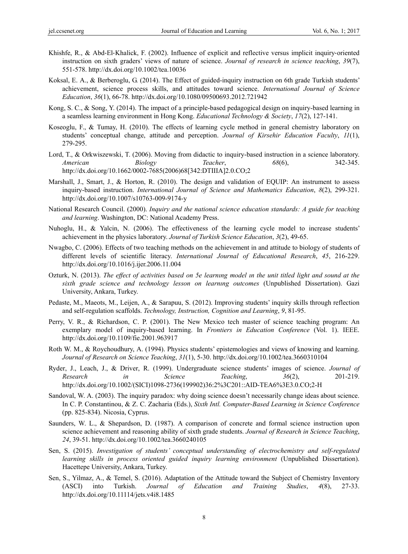- Khishfe, R., & Abd‐El‐Khalick, F. (2002). Influence of explicit and reflective versus implicit inquiry‐oriented instruction on sixth graders' views of nature of science. *Journal of research in science teaching*, *39*(7), 551-578. http://dx.doi.org/10.1002/tea.10036
- Koksal, E. A., & Berberoglu, G. (2014). The Effect of guided-inquiry instruction on 6th grade Turkish students' achievement, science process skills, and attitudes toward science. *International Journal of Science Education*, *36*(1), 66-78. http://dx.doi.org/10.1080/09500693.2012.721942
- Kong, S. C., & Song, Y. (2014). The impact of a principle-based pedagogical design on inquiry-based learning in a seamless learning environment in Hong Kong. *Educational Technology & Society*, *17*(2), 127-141.
- Koseoglu, F., & Tumay, H. (2010). The effects of learning cycle method in general chemistry laboratory on students' conceptual change, attitude and perception. *Journal of Kirsehir Education Faculty*, *11*(1), 279-295.
- Lord, T., & Orkwiszewski, T. (2006). Moving from didactic to inquiry-based instruction in a science laboratory. *American Biology Teacher*, *68*(6), 342-345. http://dx.doi.org/10.1662/0002-7685(2006)68[342:DTIIIA]2.0.CO;2
- Marshall, J., Smart, J., & Horton, R. (2010). The design and validation of EQUIP: An instrument to assess inquiry-based instruction. *International Journal of Science and Mathematics Education*, *8*(2), 299-321. http://dx.doi.org/10.1007/s10763-009-9174-y
- National Research Council. (2000). *Inquiry and the national science education standards: A guide for teaching and learning*. Washington, DC: National Academy Press.
- Nuhoglu, H., & Yalcin, N. (2006). The effectiveness of the learning cycle model to increase students' achievement in the physics laboratory. *Journal of Turkish Science Education*, *3*(2), 49-65.
- Nwagbo, C. (2006). Effects of two teaching methods on the achievement in and attitude to biology of students of different levels of scientific literacy. *International Journal of Educational Research*, *45*, 216-229. http://dx.doi.org/10.1016/j.ijer.2006.11.004
- Ozturk, N. (2013). *The effect of activities based on 5e learnıng model ın the unit titled light and sound at the sixth grade science and technology lesson on learnıng outcomes* (Unpublished Dissertation). Gazi University, Ankara, Turkey.
- Pedaste, M., Maeots, M., Leijen, A., & Sarapuu, S. (2012). Improving students' inquiry skills through reflection and self-regulation scaffolds. *Technology, Instruction, Cognition and Learning*, *9*, 81-95.
- Perry, V. R., & Richardson, C. P. (2001). The New Mexico tech master of science teaching program: An exemplary model of inquiry-based learning. In *Frontiers in Education Conference* (Vol. 1). IEEE. http://dx.doi.org/10.1109/fie.2001.963917
- Roth W. M., & Roychoudhury, A. (1994). Physics students' epistemologies and views of knowing and learning. *Journal of Research on Science Teaching*, *31*(1), 5-30. http://dx.doi.org/10.1002/tea.3660310104
- Ryder, J., Leach, J., & Driver, R. (1999). Undergraduate science students' images of science. *Journal of Research in Science Teaching*, *36*(2), 201-219. http://dx.doi.org/10.1002/(SICI)1098-2736(199902)36:2%3C201::AID-TEA6%3E3.0.CO;2-H
- Sandoval, W. A. (2003). The inquiry paradox: why doing science doesn't necessarily change ideas about science. In C. P. Constantinou, & Z. C. Zacharia (Eds.), *Sixth Intl. Computer-Based Learning in Science Conference*  (pp. 825-834). Nicosia, Cyprus.
- Saunders, W. L., & Shepardson, D. (1987). A comparison of concrete and formal science instruction upon science achievement and reasoning ability of sixth grade students. *Journal of Research in Science Teaching*, *24*, 39-51. http://dx.doi.org/10.1002/tea.3660240105
- Sen, S. (2015). *Investigation of students' conceptual understanding of electrochemistry and self-regulated learning skills in process oriented guided inquiry learning environment* (Unpublished Dissertation). Hacettepe University, Ankara, Turkey.
- Sen, S., Yilmaz, A., & Temel, S. (2016). Adaptation of the Attitude toward the Subject of Chemistry Inventory (ASCI) into Turkish. *Journal of Education and Training Studies*, *4*(8), 27-33. http://dx.doi.org/10.11114/jets.v4i8.1485